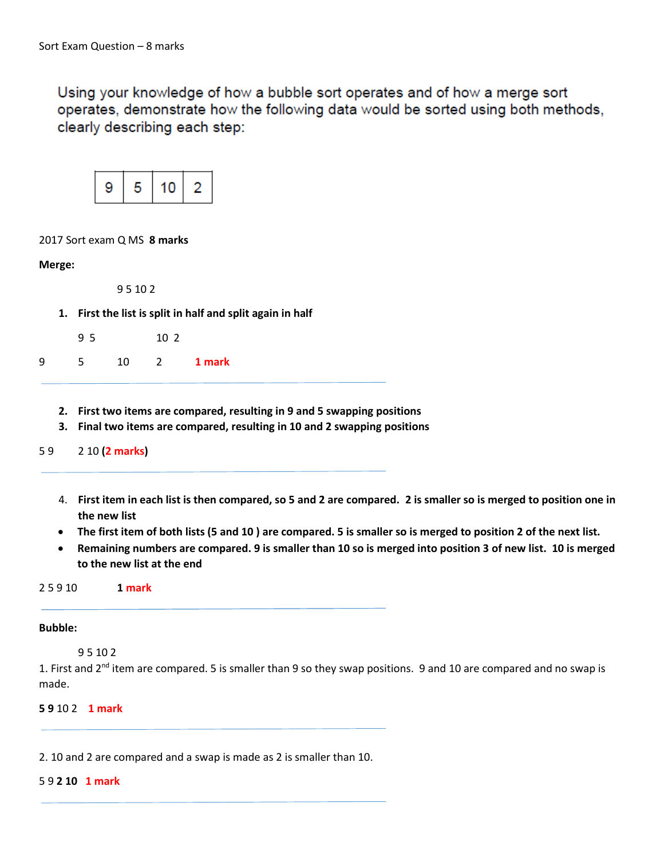Using your knowledge of how a bubble sort operates and of how a merge sort operates, demonstrate how the following data would be sorted using both methods, clearly describing each step:



### 2017 Sort exam Q MS **8 marks**

**Merge:**

9 5 10 2

**1. First the list is split in half and split again in half**

| 95 | 10 <sub>2</sub> |
|----|-----------------|
|    |                 |

| a<br>د | 10 | 1 mark |
|--------|----|--------|
|        |    |        |

- **2. First two items are compared, resulting in 9 and 5 swapping positions**
- **3. Final two items are compared, resulting in 10 and 2 swapping positions**

5 9 2 10 **(2 marks)**

- 4. **First item in each list is then compared, so 5 and 2 are compared. 2 is smaller so is merged to position one in the new list**
- **The first item of both lists (5 and 10 ) are compared. 5 is smaller so is merged to position 2 of the next list.**
- **Remaining numbers are compared. 9 is smaller than 10 so is merged into position 3 of new list. 10 is merged to the new list at the end**

2 5 9 10 **1 mark**

#### **Bubble:**

### 9 5 10 2

1. First and 2<sup>nd</sup> item are compared. 5 is smaller than 9 so they swap positions. 9 and 10 are compared and no swap is made.

**5 9** 10 2 **1 mark**

2. 10 and 2 are compared and a swap is made as 2 is smaller than 10.

# 5 9 **2 10 1 mark**